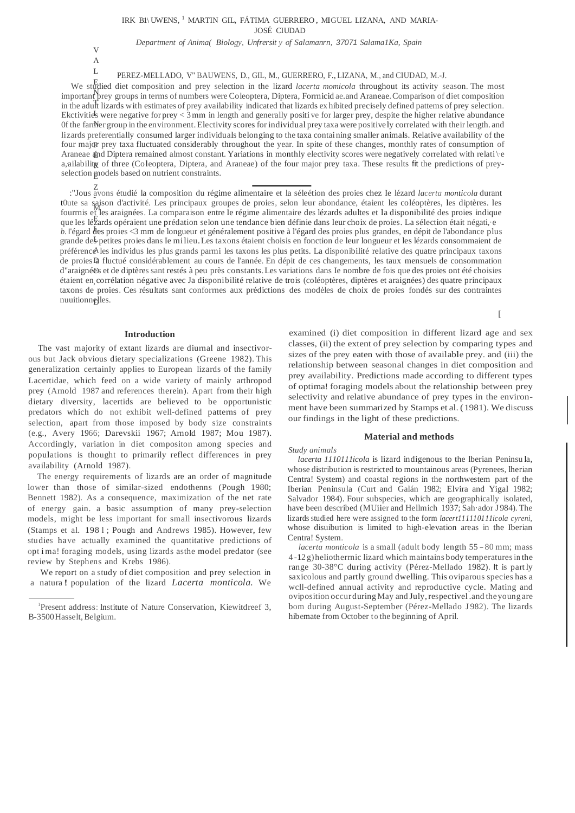# IRK BI\ UWENS, $^{\rm l}$  MARTIN GIL, FÁTIMA GUERRERO , MIGUEL LIZANA, AND MARIA-

JOSÉ CIUDAD

*Department of Anima( Biology, Unfrersit y of Salamanrn, 37071 Salama1Ka, Spain*

V A L

PEREZ-MELLADO, V" BAUWENS, D., GIL, M., GUERRERO, F., LIZANA, M., and CIUDAD, M.-J.

We studied diet composition and prey selection in the lizard *lacerta momicola* throughout its activity season. The most important prey groups in terms of numbers were Coleoptera, Diptera, Forrnicid ae.and Araneae. Comparison of diet composition in the adult lizards with estimates of prey availability indicated that lizards ex hibited precisely defined pattems of prey selection. Ekctivities were negative for prey < 3 mm in length and generally positi ve for larger prey, despite the higher relative abundance Of the farmer group in the environment. Electivity scores for individual prey taxa were positive ly correlated with their length. and four major prey taxa fluctuated considerably throughout the year. In spite of these changes, monthly rates of consumption of Araneae and Diptera remained almost constant. Yariations in monthly electivity scores were negatively correlated with relati $\setminus$ e a, ailability of three (Coleoptera, Diptera, and Araneae) of the four major prey taxa. These results fit the predictions of preyselection  $\operatorname*{models}$  based on nutrient constraints. lizards preferentially consumed larger individuals belonging to the taxa containing smaller animals. Relative availability of the

Z :"Jous avons étudié la composition du régime alimentaire et la séleétion des proies chez Ie lézard *lacerta monticola* durant - t0ute sa saison d'activité. Les principaux groupes de proies, selon leur abondance, étaient les coléoptères, les diptères. les M fourrnis et les araignées. La comparaison entre Ie régime alimentaire des lézards adultes et la disponibilité des proies indique que les lézards opéraient une prédation selon une tendance bien définie dans leur choix de proies. La sélection était négati, e b. l'égard des proies <3 mm de longueur et généralement positive à l'égard des proies plus grandes, en dépit de l'abondance plus grande des petites proies dans Ie milieu.Les taxons étaient choisis en fonction de leur longueur et les lézards consommaient de préférence<sup>s</sup> les individus les plus grands parmi les taxons les plus petits. La disponibilité relative des quatre principaux taxons de proies la fluctué considérablement au cours de l'année. En dépit de ces changements, les taux mensuels de consommation O d"araignée s et de diptères sant restés à peu près constants.Les variations dans Ie nombre de fois que des proies ont été choisies étaient en corrélation négative avec Ja disponibilité relative de trois (coléoptères, diptères et araignées) des quatre principaux nuuitionn<del>e</del>}les. taxons de proies. Ces résultats sant conforrnes aux prédictions des modèles de choix de proies fondés sur des contraintes

**Introduction**

The vast majority of extant lizards are diurnal and insectivorous but Jack obvious dietary specializations (Greene 1982). This generalization certainly applies to European lizards of the family Lacertidae, which feed on a wide variety of mainly arthropod prey (Arnold 1987 and references therein). Apart from their high dietary diversity, lacertids are believed to be opportunistic predators which do not exhibit well-defined patterns of prey selection, apart from those imposed by body size constraints (e.g., Avery 1966; Darevskii 1967; Arnold 1987; Mou 1987). Accordingly, variation in diet compositon among species and populations is thought to primarily reflect differences in prey availability (Arnold 1987).

The energy requirements of lizards are an order of magnitude lower than those of similar-sized endothenns (Pough 1980; Bennett 1982). As a consequence, maximization of the net rate of energy gain. a basic assumption of many prey-selection models, might be less important for small insectivorous lizards (Stamps et al. 1981; Pough and Andrews 1985). However, few studies have actually examined the quantitative predictions of opt i ma! foraging models, using lizards asthe model predator (see review by Stephens and Krebs 1986).

We report on a study of diet composition and prey selection in a natura ! population of the lizard *Lacerta monticola.* We

examined (i) diet composition in different lizard age and sex classes, (ii) the extent of prey selection by comparing types and sizes of the prey eaten with those of available prey. and (iii) the relationship between seasonal changes in diet composition and prey availability. Predictions made according to different types of optima! foraging models about the relationship between prey selectivity and relative abundance of prey types in the environment have been summarized by Stamps et al. (1981). We discuss our findings in the light of these predictions.

 $\lceil$ 

## **Material and methods**

#### *Study animals*

*lacerta 1110111icola* is lizard indigenous to the lberian Peninsu la, whose distribution is restricted to mountainous areas (Pyrenees, lherian Centra! System) and coastal regions in the northwestem part of the Iberian Peninsula (Curt and Galán 1982; Elvira and Yigal 1982; Salvador 1984). Four subspecies, which are geographically isolated, have been described (MUiier and Hellmich 1937; Sah·ador J 984). The lizards studied here were assigned to the form *lacert111110111icola cyreni,* whose disuibution is limited to high-elevation areas in the Iberian Centra! System.

*lacerta monticola* is a small (adult body length 55 - 80 mm; mass 4 -12 g)heliotherrnic lizard which maintains body temperaturesin the range 30-38°C during activity (Pérez-Mellado 1982). It is part ly saxicolous and partly ground dwelling. This oviparous species has a wcll-defined annual activity and reproductive cycle. Mating and oviposition occurduringMay and July,respectivel .and theyoung are bom during August-September (Pérez-Mellado J 982). The lizards hibemate from October to the beginning of April.

<sup>1</sup> Present address: lnstitute of Nature Conservation, Kiewitdreef 3, B-3500 Hasselt, Belgium.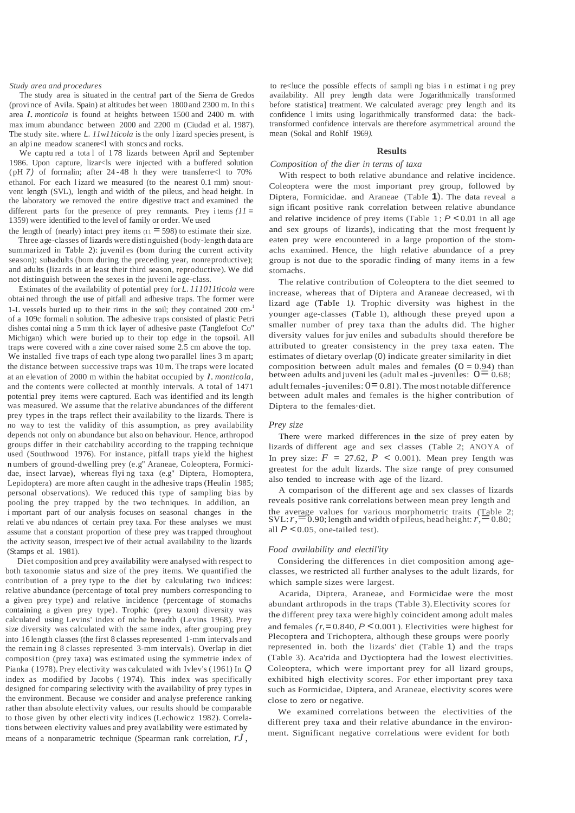#### *Study area and procedures*

The study area is situated in the centra! part of the Sierra de Gredos (provi nce of Avila. Spain) at altitudes bet ween 1800 and 2300 m. In this area *l. monticola* is found at heights between <sup>1500</sup> and <sup>2400</sup> m. with max imum abundancc between 2000 and 2200 m (Ciudad et al. 1987). The study site. where *L. 11w11ticola* is the only l izard species present, is an alpi ne meadow scanere<l with stoncs and rocks.

We captu red a tota l of 1 78 lizards between April and September 1986. Upon capture, lizar<ls were injected with a buffered solution ( pH *7)* of forrnalin; after 24 -48 h they were transferre<l to 70% ethanol. For each l izard we measured (to the nearest 0.1 mm) snoutvent length (SVL), length and width of the pileus, and head height. In the laboratory we removed the entire digestive tract and examined the different parts for the presence of prey remnants. Prey i tems  $(11)$ 1359) were identified to the level of family or order. We used the length of (nearly) intact prey items  $(11 = 598)$  to estimate their size.

Three age-classes of lizards were disti nguished (body-length data are summarized in Table 2): juvenil es (bom during the current activity season); subadults (bom during the preceding year, nonreproductive); and adults (lizards in at least their third season, reproductive). We did not distinguish between the sexes in the juveni le age-class.

Estimates of the availability of potential prey for *L. 111011ticola* were obtai ned through the use of pitfall and adhesive traps. The former were 1-L vessels buried up to their rims in the soil; they contained 200 cm-1 of a 109c formali n solution. The adhesive traps consisted of plastic Petri dishes contai ning a 5 mm th ick layer of adhesive paste (Tanglefoot Co" Michigan) which were buried up to their top edge in the topsoil. All traps were covered with a zine cover raised some 2.5 cm above the top. We installed five traps of each type along two parallel lines 3 m apart; the distance between successive traps was 10 m. The traps were located at an elevation of <sup>2000</sup> <sup>m</sup> within the habitat occupied by *l.monticola,* and the contents were collected at monthly intervals. A total of 1471 potential prey items were captured. Each was identified and its length was measured. We assume that the relative abundances of the different prey types in the traps reflect their availability to the lizards. There is no way to test the validity of this assumption, as prey availability depends not only on abundance but also on behaviour. Hence, arthropod groups differ in their catchability according to the trapping technique used (Southwood 1976). For instance, pitfall traps yield the highest n umbers of ground-dwelling prey (e.g" Araneae, Coleoptera, Formicidae, insect larvae), whereas flyi ng taxa (e.g" Diptera, Homoptera, Lepidoptera) are more aften caught in the adhesive traps (Heulin 1985; personal observations). We reduced this type of sampling bias by pooling the prey trapped by the two techniques. In addilion, an i mportant part of our analysis focuses on seasonal changes in the relati ve abu ndances of certain prey taxa. For these analyses we must assume that a constant proportion of these prey was trapped throughout the activity season, irrespect ive of their actual availability to the lizards (Stamps et al. 1981).

Diet composition and prey availability were analysed with respect to both taxonomie status and size of the prey items. We quantified the contribution of a prey type to the diet by calculating two indices: relative abundance (percentage of total prey numbers corresponding to a given prey type) and relative incidence (percentage of stomachs containing a given prey type). Trophic (prey taxon) diversity was calculated using Levins' index of niche breadth (Levins 1968). Prey size diversity was calculated with the same index, after grouping prey into 16 length classes (the first 8 classes represented 1-mm intervals and the remain ing 8 classes represented 3-mm intervals). Overlap in diet composition (prey taxa) was estimated using the symmetrie index of Pianka ( 1978). Prey electivity was calculated with Ivlev's ( 1961) In *Q* index as modified by Jacobs ( 1974). This index was specifically designed for comparing selectivity with the availability of prey types in the environment. Because we consider and analyse preference ranking rather than absolute electivity values, our results should be comparable to those given by other electi vity indices (Lechowicz 1982). Correlations between electivity values and prey availability were estimated by means of a nonparametric technique (Spearman rank correlation, *rJ ,*

to re<luce the possible effects of sampli ng bias i n estimat i ng prey availability. All prey length data were Jogarithmically transformed before statistica] treatment. We calculated averagc prey length and its confidence l imits using logarithmically transformed data: the backtransformed confidence intervals are therefore asymmetrical around the mean (Sokal and Rohlf 1969*).*

#### **Results**

## *Composition of the dier in terms of taxa*

With respect to both relative abundance and relative incidence. Coleoptera were the most important prey group, followed by Diptera, Formicidae. and Araneae (TabIe **1**). The data reveal a sign ificant positive rank correlation between relative abundance and relative incidence of prey items (Table 1;  $P < 0.01$  in all age and sex groups of lizards), indicating that the most frequent ly eaten prey were encountered in a large proportion of the stomachs examined. Hence, the high relative abundance of a prey group is not due to the sporadic finding of many items in a few stomachs.

The relative contribution of Coleoptera to the diet seemed to increase, whereas that of Diptera and Araneae decreased, wi th lizard age (TabIe 1*).* Trophic diversity was highest in the younger age-classes (Table 1), although these preyed upon a smaller number of prey taxa than the adults did. The higher diversity values for juv eniles and subadults should therefore be attributed to greater consistency in the prey taxa eaten. The estimates of dietary overlap (0) indicate greater similarity in diet composition between adult males and females  $(0 = 0.94)$  than between adults and juveni les (adult mal es -juveniles:  $0=0.68$ ; adult females - juveniles:  $0=0.81$ ). The most notable difference between adult males and females is the higher contribution of Diptera to the females·diet.

#### *Prey size*

There were marked differences in the size of prey eaten by lizards of different age and sex classes (Table 2; ANOYA of In prey size:  $F = 27.62$ ,  $P < 0.001$ ). Mean prey Iength was greatest for the adult lizards. The size range of prey consumed also tended to increase with age of the lizard.

A comparison of the different age and sex classes of lizards reveals positive rank correlations between mean prey Iength and the average values for various morphometric traits (Table 2; SVL:  $r, =0.90$ ; length and width of pileus, head height:  $r, =0.80$ ;  $\overline{0.90}$ ; length and width of pileus, head height:  $r, =0.80$ ; all  $P < 0.05$ , one-tailed test).

#### *Food availability and electil'ity*

Considering the differences in diet composition among ageclasses, we restricted all further analyses to the adult lizards, for which sample sizes were largest.

Acarida, Diptera, Araneae, and Formicidae were the most abundant arthropods in the traps (Table 3).Electivity scores for the different prey taxa were highly coincident among adult males and females *(r,*=0.840, *P* <0.001 ). Electivities were highest for Plecoptera and Trichoptera, although these groups were poorly represented in. both the lizards' diet (Table 1) and the traps (Table 3). Aca'rida and Dyctioptera had the lowest electivities. Coleoptera, which were important prey for all lizard groups, exhibited high electivity scores. For ether important prey taxa such as Formicidae, Diptera, and Araneae, electivity scores were close to zero or negative.

We examined correlations between the electivities of the different prey taxa and their relative abundance in the environment. Significant negative correlations were evident for both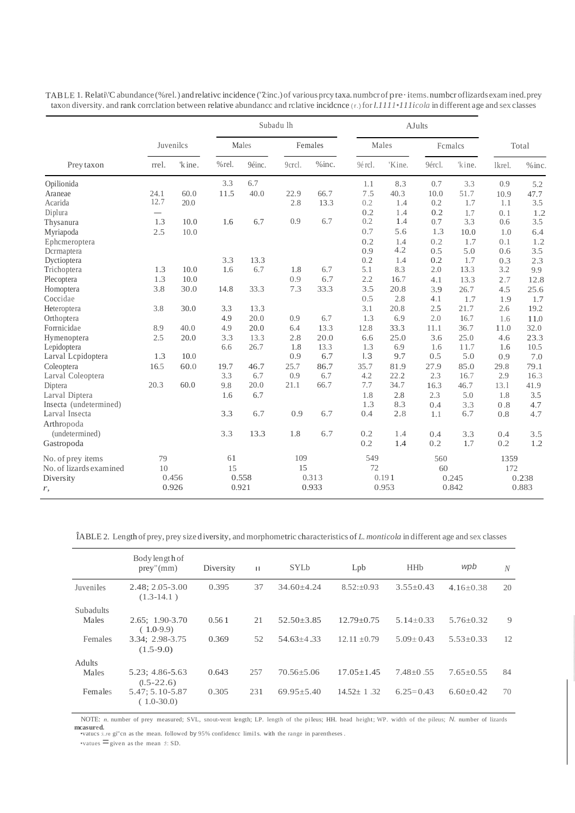|                         |           |        | Subadu lh |        |         | <b>AJults</b> |         |        |         |        |        |          |
|-------------------------|-----------|--------|-----------|--------|---------|---------------|---------|--------|---------|--------|--------|----------|
|                         | Juvenilcs |        | Males     |        | Females |               | Males   |        | Females |        | Total  |          |
| Prey taxon              | rrel.     | 'kine. | %rel.     | 9éinc. | 9crcl.  | $%$ inc.      | 9é rcl. | 'Kine. | 9ércl.  | 'kine. | lkrel. | $%$ inc. |
| Opilionida              |           |        | 3.3       | 6.7    |         |               | 1.1     | 8.3    | 0.7     | 3.3    | 0.9    | 5.2      |
| Araneae                 | 24.1      | 60.0   | 11.5      | 40.0   | 22.9    | 66.7          | 7.5     | 40.3   | 10.0    | 51.7   | 10.9   | 47.7     |
| Acarida                 | 12.7      | 20.0   |           |        | 2.8     | 13.3          | 0.2     | 1.4    | 0.2     | 1.7    | 1.1    | 3.5      |
| Diplura                 | $\sim$    |        |           |        |         |               | 0.2     | 1.4    | 0.2     | 1.7    | 0.1    | 1.2      |
| Thysanura               | 1.3       | 10.0   | 1.6       | 6.7    | 0.9     | 6.7           | 0.2     | 1.4    | 0.7     | 3.3    | 0.6    | 3.5      |
| Myriapoda               | 2.5       | 10.0   |           |        |         |               | 0.7     | 5.6    | 1.3     | 10.0   | 1.0    | 6.4      |
| Ephcmeroptera           |           |        |           |        |         |               | 0.2     | 1.4    | 0.2     | 1.7    | 0.1    | 1.2      |
| Dcrrnaptera             |           |        |           |        |         |               | 0.9     | 4.2    | 0.5     | 5.0    | 0.6    | 3.5      |
| Dyctioptera             |           |        | 3.3       | 13.3   |         |               | 0.2     | 1.4    | 0.2     | 1.7    | 0.3    | 2.3      |
| Trichoptera             | 1.3       | 10.0   | 1.6       | 6.7    | 1.8     | 6.7           | 5.1     | 8.3    | 2.0     | 13.3   | 3.2    | 9.9      |
| Plecoptera              | 1.3       | 10.0   |           |        | 0.9     | 6.7           | 2.2     | 16.7   | 4.1     | 13.3   | 2.7    | 12.8     |
| Homoptera               | 3.8       | 30.0   | 14.8      | 33.3   | 7.3     | 33.3          | 3.5     | 20.8   | 3.9     | 26.7   | 4.5    | 25.6     |
| Coccidae                |           |        |           |        |         |               | 0.5     | 2.8    | 4.1     | 1.7    | 1.9    | 1.7      |
| Heteroptera             | 3.8       | 30.0   | 3.3       | 13.3   |         |               | 3.1     | 20.8   | 2.5     | 21.7   | 2.6    | 19.2     |
| Orthoptera              |           |        | 4.9       | 20.0   | 0.9     | 6.7           | 1.3     | 6.9    | 2.0     | 16.7   | 1.6    | 11.0     |
| Forrnicidae             | 8.9       | 40.0   | 4.9       | 20.0   | 6.4     | 13.3          | 12.8    | 33.3   | 11.1    | 36.7   | 11.0   | 32.0     |
| Hymenoptera             | 2.5       | 20.0   | 3.3       | 13.3   | 2.8     | 20.0          | 6.6     | 25.0   | 3.6     | 25.0   | 4.6    | 23.3     |
| Lepidoptera             |           |        | 6.6       | 26.7   | 1.8     | 13.3          | 1.3     | 6.9    | 1.6     | 11.7   | 1.6    | 10.5     |
| Larval Lepidoptera      | 1.3       | 10.0   |           |        | 0.9     | 6.7           | 1.3     | 9.7    | 0.5     | 5.0    | 0.9    | 7.0      |
| Coleoptera              | 16.5      | 60.0   | 19.7      | 46.7   | 25.7    | 86.7          | 35.7    | 81.9   | 27.9    | 85.0   | 29.8   | 79.1     |
| Larval Coleoptera       |           |        | 3.3       | 6.7    | 0.9     | 6.7           | 4.2     | 22.2   | 2.3     | 16.7   | 2.9    | 16.3     |
| Diptera                 | 20.3      | 60.0   | 9.8       | 20.0   | 21.1    | 66.7          | 7.7     | 34.7   | 16.3    | 46.7   | 13.1   | 41.9     |
| Larval Diptera          |           |        | 1.6       | 6.7    |         |               | 1.8     | 2.8    | 2.3     | 5.0    | 1.8    | 3.5      |
| Insecta (undetermined)  |           |        |           |        |         |               | 1.3     | 8.3    | 0.4     | 3.3    | 0.8    | 4.7      |
| Larval Insecta          |           |        | 3.3       | 6.7    | 0.9     | 6.7           | 0.4     | 2.8    | 1.1     | 6.7    | 0.8    | 4.7      |
| Arthropoda              |           |        |           |        |         |               |         |        |         |        |        |          |
| (undetermined)          |           |        | 3.3       | 13.3   | 1.8     | 6.7           | 0.2     | 1.4    | 0.4     | 3.3    | 0.4    | 3.5      |
| Gastropoda              |           |        |           |        |         |               | 0.2     | 1.4    | 0.2     | 1.7    | 0.2    | 1.2      |
|                         |           |        |           |        |         |               |         |        |         |        |        |          |
| No. of prey items       | 79        |        | 61        |        | 109     |               | 549     |        | 560     |        | 1359   |          |
| No. of lizards examined | 10        |        | 15        |        | 15      |               | 72      |        | 60      |        | 172    |          |
| Diversity               |           | 0.456  |           | 0.558  |         | 0.313         |         | 0.191  |         | 0.245  |        | 0.238    |
| r,                      |           | 0.926  |           | 0.921  |         | 0.933         |         | 0.953  |         | 0.842  |        | 0.883    |
|                         |           |        |           |        |         |               |         |        |         |        |        |          |

TABLE 1. Relati\'C abundance (%rel.) and relative incidence ('7inc.) of various prey taxa. number of pre-items. number of lizards exam ined. prey taxon diversity. and rank correlation between relative abundance and relative incidence (r.) for l.1111+111icola in different age and sex classes

ÎABLE 2. Length of prey, prey size diversity, and morphometric characteristics of L. monticola in different age and sex classes

|                  | Body length of<br>prey''(mm)        | Diversity | $\mathbf{H}$ | <b>SYLb</b>      | Lpb              | <b>HH<sub>b</sub></b> | wpb             | $\mathcal N$ |
|------------------|-------------------------------------|-----------|--------------|------------------|------------------|-----------------------|-----------------|--------------|
| Juveniles        | $2.48: 2.05 - 3.00$<br>$(1.3-14.1)$ | 0.395     | 37           | $34.60 + 4.24$   | $8.52 \pm 0.93$  | $3.55+0.43$           | $4.16 + 0.38$   | 20           |
| <b>Subadults</b> |                                     |           |              |                  |                  |                       |                 |              |
| Males            | $2.65: 1.90 - 3.70$<br>$(1.0-9.9)$  | 0.561     | 21           | $52.50 \pm 3.85$ | $12.79 \pm 0.75$ | $5.14 \pm 0.33$       | $5.76 \pm 0.32$ | 9            |
| Females          | 3.34; 2.98-3.75<br>$(1.5-9.0)$      | 0.369     | 52           | $54.63 + 4.33$   | $12.11 \pm 0.79$ | $5.09 \pm 0.43$       | $5.53 + 0.33$   | 12           |
| <b>Adults</b>    |                                     |           |              |                  |                  |                       |                 |              |
| Males            | 5.23; 4.86-5.63<br>$(1.5 - 22.6)$   | 0.643     | 257          | $70.56 + 5.06$   | $17.05 + 1.45$   | $7.48 + 0.55$         | $7.65 + 0.55$   | 84           |
| Females          | 5.47; 5.10-5.87<br>$(1.0-30.0)$     | 0.305     | 231          | $69.95 \pm 5.40$ | $14.52 + 1.32$   | $6.25=0.43$           | $6.60+0.42$     | 70           |

NOTE: n. number of prey measured; SVL, snout-vent length; LP. length of the pileus; HH. head height; WP. width of the pileus; N. number of lizards mcasured.<br>
•vatues :i..re gi"cn as the mean. followed by 95% confidence limils. with the range in parentheses.

 $\bullet$ vatues  $\equiv$  given as the mean : I: SD.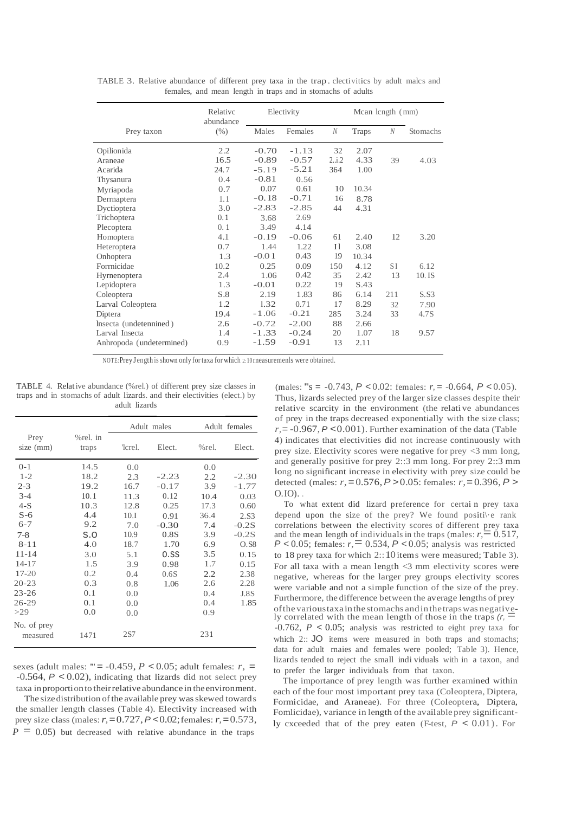|                          | Relative<br>abundance | Electivity |         |              | Mcan length (mm) |     |          |  |
|--------------------------|-----------------------|------------|---------|--------------|------------------|-----|----------|--|
| Prey taxon               | (% )                  | Males      | Females | $\mathcal N$ | Traps            | N   | Stomachs |  |
| Opilionida               | 2.2                   | $-0.70$    | $-1.13$ | 32           | 2.07             |     |          |  |
| Araneae                  | 16.5                  | $-0.89$    | $-0.57$ | 2i.2         | 4.33             | 39  | 4.03     |  |
| Acarida                  | 24.7                  | $-5.19$    | $-5.21$ | 364          | 1.00             |     |          |  |
| Thysanura                | 0.4                   | $-0.81$    | 0.56    |              |                  |     |          |  |
| Myriapoda                | 0.7                   | 0.07       | 0.61    | 10           | 10.34            |     |          |  |
| Derrnaptera              | 1.1                   | $-0.18$    | $-0.71$ | 16           | 8.78             |     |          |  |
| Dyctioptera              | 3.0                   | $-2.83$    | $-2.85$ | 44           | 4.31             |     |          |  |
| Trichoptera              | 0.1                   | 3.68       | 2.69    |              |                  |     |          |  |
| Plecoptera               | 0.1                   | 3.49       | 4.14    |              |                  |     |          |  |
| Homoptera                | 4.1                   | $-0.19$    | $-0.06$ | 61           | 2.40             | 12  | 3.20     |  |
| Heteroptera              | 0.7                   | 1.44       | 1.22    | $_{11}$      | 3.08             |     |          |  |
| Onhoptera                | 1.3                   | $-0.01$    | 0.43    | 19           | 10.34            |     |          |  |
| Forrnicidae              | 10.2                  | 0.25       | 0.09    | 150          | 4.12             | S I | 6.12     |  |
| Hyrnenoptera             | 2.4                   | 1.06       | 0.42    | 35           | 2.42             | 13  | 10. IS   |  |
| Lepidoptera              | 1.3                   | $-0.01$    | 0.22    | 19           | S.43             |     |          |  |
| Coleoptera               | S.8                   | 2.19       | 1.83    | 86           | 6.14             | 211 | S.S3     |  |
| Larval Coleoptera        | 1.2                   | 1.32       | 0.71    | 17           | 8.29             | 32  | 7.90     |  |
| Diptera                  | 19.4                  | $-1.06$    | $-0.21$ | 285          | 3.24             | 33  | 4.7S     |  |
| Insecta (undetennined)   | 2.6                   | $-0.72$    | $-2.00$ | 88           | 2.66             |     |          |  |
| Larval Insecta           | 1.4                   | $-1.33$    | $-0.24$ | 20           | 1.07             | 18  | 9.57     |  |
| Anhropoda (undetermined) | 0.9                   | $-1.59$    | $-0.91$ | 13           | 2.11             |     |          |  |

TABLE 3. Relative abundance of different prey taxa in the trap. clectivitics by adult malcs and females, and mean length in traps and in stomachs of adults

NOTE:Prey J ength isshown only for taxa for which 2:10 rneasuremenls were obtained.

TABLE 4. Relative abundance (%rel.) of different prey size classes in traps and in stomachs of adult lizards. and their electivities (elect.) by adult lizards

|                   |                      |         | Adult males |          | Adult females    |
|-------------------|----------------------|---------|-------------|----------|------------------|
| Prey<br>size (mm) | $%$ rel. in<br>traps | 'lcrel. | Elect.      | $%$ rel. | Elect.           |
| $0 - 1$           | 14.5                 | 0.0     |             | 0.0      |                  |
| $1 - 2$           | 18.2                 | 2.3     | $-2.23$     | 2.2      | $-2.30$          |
| $2 - 3$           | 19.2                 | 16.7    | $-0.17$     | 3.9      | $-1.77$          |
| $3 - 4$           | 10.1                 | 11.3    | 0.12        | 10.4     | 0.03             |
| $4-S$             | 10.3                 | 12.8    | 0.25        | 17.3     | 0.60             |
| $S-6$             | 4.4                  | 10.1    | 0.91        | 36.4     | 2.S <sub>3</sub> |
| $6 - 7$           | 9.2                  | 7.0     | $-0.30$     | 7.4      | $-0.2S$          |
| $7 - 8$           | S.O                  | 10.9    | 0.8S        | 3.9      | $-0.2S$          |
| $8 - 11$          | 4.0                  | 18.7    | 1.70        | 6.9      | O.S8             |
| $11 - 14$         | 3.0                  | 5.1     | 0.SS        | 3.5      | 0.15             |
| $14 - 17$         | 1.5                  | 3.9     | 0.98        | 1.7      | 0.15             |
| $17 - 20$         | 0.2                  | 0.4     | 0.6S        | 2.2      | 2.38             |
| $20 - 23$         | 0.3                  | 0.8     | 1.06        | 2.6      | 2.28             |
| $23 - 26$         | 0.1                  | 0.0     |             | 0.4      | J.8S             |
| $26 - 29$         | 0.1                  | 0.0     |             | 0.4      | 1.85             |
| >29               | 0.0                  | 0.0     |             | 0.9      |                  |
| No. of prey       |                      |         |             |          |                  |
| measured          | 1471                 | 2S7     |             | 231      |                  |

sexes (adult males: " $= -0.459$ ,  $P < 0.05$ ; adult females:  $r_0 =$ -0.564, *P* < 0.02), indicating that lizards did not select prey taxa inproportionto theirrelative abundance in theenvironment.

The size distribution of the available prey was skewed towards the smaller length classes (Table 4). Electivity increased with prey size class (males:*r,*=0.727,*P* <0.02;females: *r,*=0.573,  $P = 0.05$ ) but decreased with relative abundance in the traps

(males: '"s = -0.743, *P* < 0.02: females: *r,* = -0.664, *P* < 0.05). Thus, lizards selected prey of the larger size classes despite their relative scarcity in the environment (the relati ve abundances of prey in the traps decreased exponentially with the size class;  $r = -0.967$ ,  $P < 0.001$ ). Further examination of the data (Table 4) indicates that electivities did not increase continuously with prey size. Electivity scores were negative for prey <3 mm long, and generally positive for prey 2::3 mm long. For prey 2::3 mm long no significant increase in electivity with prey size could be detected (males: *r,*=0.576,*P* >0.05: females: *r,*=0.396, *P* >  $O.IO$ ).

To what extent did lizard preference for certai n prey taxa depend upon the size of the prey? We found positi\·e rank correlations between the electivity scores of different prey taxa and the mean length of individuals in the traps (males:  $r = 0.517$ ,  $P < 0.05$ ; females:  $r = 0.534$ ,  $P < 0.05$ ; analysis was restricted to 18 prey taxa for which 2::10 items were measured; TabIe 3). For all taxa with a mean length <3 mm electivity scores were negative, whereas for the larger prey groups electivity scores were variable and not a simple function of the size of the prey. Furthermore, the difference between the average lengths of prey of the various taxa in the stomachs and in the traps was negative-<br>ly correlated with the mean length of those in the traps  $(r, \equiv$ -0.762, *P* < 0.05; analysis was restricted to eight prey taxa for which 2:: JO items were measured in both traps and stomachs; data for adult rnaies and females were pooled; Table 3). Hence, lizards tended to reject the small indi viduals with in a taxon, and to prefer the larger individuals from that taxon.

The importance of prey length was further examined within each of the four most important prey taxa (Coleoptera, Diptera, Formicidae, and Araneae). For three (Coleoptera, Diptera, Fomlicidae), variance in length of the available prey significantly cxceeded that of the prey eaten (F-test, *P* < 0.01). For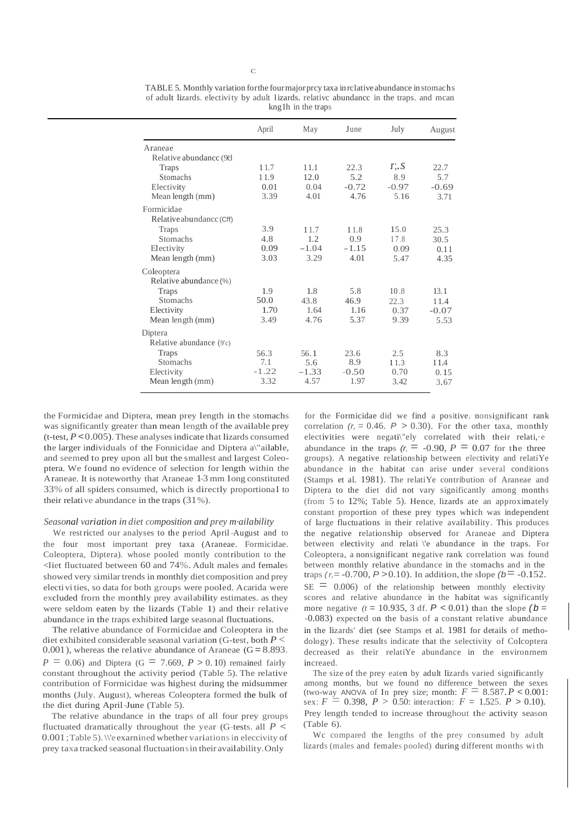|                          | April   | May     | June    | July    | August  |
|--------------------------|---------|---------|---------|---------|---------|
| Araneae                  |         |         |         |         |         |
| Relative abundance (981) |         |         |         |         |         |
| <b>Traps</b>             | 11.7    | 11.1    | 22.3    | r, S    | 22.7    |
| <b>Stomachs</b>          | 11.9    | 12.0    | 5.2     | 8.9     | 5.7     |
| Electivity               | 0.01    | 0.04    | $-0.72$ | $-0.97$ | $-0.69$ |
| Mean length (mm)         | 3.39    | 4.01    | 4.76    | 5.16    | 3.71    |
| Formicidae               |         |         |         |         |         |
| Relative abundance (Cff) |         |         |         |         |         |
| <b>Traps</b>             | 3.9     | 11.7    | 11.8    | 15.0    | 25.3    |
| <b>Stomachs</b>          | 4.8     | 1.2     | 0.9     | 17.8    | 30.5    |
| Electivity               | 0.09    | $-1.04$ | $-1.15$ | 0.09    | 0.11    |
| Mean length (mm)         | 3.03    | 3.29    | 4.01    | 5.47    | 4.35    |
| Coleoptera               |         |         |         |         |         |
| Relative abundance (%)   |         |         |         |         |         |
| Traps                    | 1.9     | 1.8     | 5.8     | 10.8    | 13.1    |
| <b>Stomachs</b>          | 50.0    | 43.8    | 46.9    | 22.3    | 11.4    |
| Electivity               | 1.70    | 1.64    | 1.16    | 0.37    | $-0.07$ |
| Mean length (mm)         | 3.49    | 4.76    | 5.37    | 9.39    | 5.53    |
| Diptera                  |         |         |         |         |         |
| Relative abundance (9'c) |         |         |         |         |         |
| Traps                    | 56.3    | 56.1    | 23.6    | 2.5     | 8.3     |
| <b>Stomachs</b>          | 7.1     | 5.6     | 8.9     | 11.3    | 11.4    |
| Electivity               | $-1.22$ | $-1.33$ | $-0.50$ | 0.70    | 0.15    |
| Mean length (mm)         | 3.32    | 4.57    | 1.97    | 3.42    | 3.67    |

TABLE 5. Monthly variation for the four major prcy taxa in rclative abundance in stomachs of adult lizards. electivity by adult lizards. relative abundance in the traps. and mean kng 1h in the traps

the Formicidae and Diptera, mean prey length in the stomachs was significantly greater than mean length of the available prey (t-test,  $P < 0.005$ ). These analyses indicate that lizards consumed the larger individuals of the Fonnicidae and Diptera a\"ailable, and seemed to prey upon all but the smallest and largest Coleoptera. We found no evidence of selection for length within the Araneae. It is noteworthy that Araneae 1-3 mm long constituted 33% of all spiders consumed, which is directly proportional to their relative abundance in the traps  $(31\%)$ .

#### Seasonal variation in diet composition and prey mailability

We restricted our analyses to the period April-August and to the four most important prey taxa (Araneae. Formicidae. Coleoptera, Diptera). whose pooled montly contribution to the <liet fluctuated between 60 and 74%. Adult males and females showed very similar trends in monthly diet composition and prey electivities, so data for both groups were pooled. Acarida were excluded from the monthly prey availability estimates. as they were seldom eaten by the lizards (Table 1) and their relative abundance in the traps exhibited large seasonal fluctuations.

The relative abundance of Formicidae and Coleoptera in the diet exhibited considerable seasonal variation (G-test, both  $P$  <  $0.001$ ), whereas the relative abundance of Araneae (G = 8.893.  $P = 0.06$ ) and Diptera (G = 7.669, P > 0.10) remained fairly constant throughout the activity period (Table 5). The relative contribution of Forrnicidae was highest during the midsummer months (July. August), whereas Coleoptera formed the bulk of the diet during April-June (Table 5).

The relative abundance in the traps of all four prey groups fluctuated dramatically throughout the year (G-tests. all  $P \leq$ 0.001; Table 5). We examined whether variations in eleccivity of prey taxa tracked seasonal fluctuations in their availability. Only

for the Formicidae did we find a positive. nonsignificant rank correlation  $(r = 0.46, P > 0.30)$ . For the other taxa, monthly electivities were negati\"ely correlated with their relati, e abundance in the traps  $(r = -0.90, P = 0.07)$  for the three groups). A negative relationship between electivity and relatiYe abundance in the habitat can arise under several conditions (Stamps et al. 1981). The relatiYe contribution of Araneae and Diptera to the diet did not vary significantly among months (from  $5$  to  $12\%$ ; Table  $5$ ). Hence, lizards ate an approximately constant proportion of these prey types which was independent of large fluctuations in their relative availability. This produces the negative relationship observed for Araneae and Diptera between electivity and relati \'e abundance in the traps. For Coleoptera, a nonsignificant negative rank correlation was found between monthly relative abundance in the stomachs and in the traps (r,= -0.700, P > 0.10). In addition, the slope ( $b$  = -0.152.  $SE = 0.006$  of the relationship between monthly electivity scores and relative abundance in the habitat was significantly more negative  $(t = 10.935, 3$  df.  $P < 0.01$ ) than the slope  $(b = 10.935, 3)$ -0.083) expected on the basis of a constant relative abundance in the lizards' diet (see Stamps et al. 1981 for details of methodology). These results indicate that the selectivity of Colcoptera decreased as their relatiYe abundance in the environmem increaed.

The size of the prey eaten by adult lizards varied significantly among months, but we found no difference between the sexes (two-way ANOVA of In prey size; month:  $F = 8.587 \cdot P \le 0.001$ : sex:  $F = 0.398$ ,  $P > 0.50$ : interaction:  $F = 1.525$ .  $P > 0.10$ ). Prey length tended to increase throughout the activity season  $(Table 6).$ 

We compared the lengths of the prey consumed by adult lizards (males and females pooled) during different months with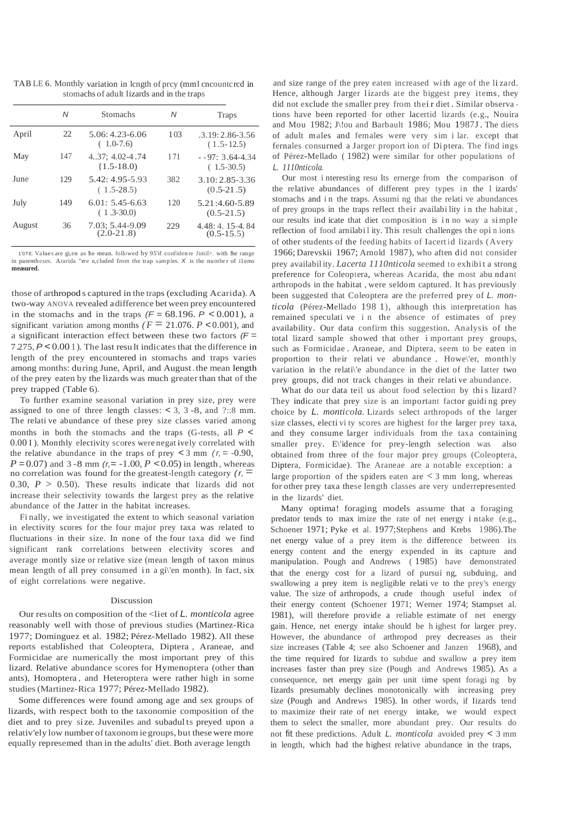TABLE 6. Monthly variation in length of prcy (mml encountered in stomachs of adult lizards and in the traps

|        | Ν   | <b>Stomachs</b>                     | Ν   | <b>Traps</b>                       |
|--------|-----|-------------------------------------|-----|------------------------------------|
| April  | 22  | $5.06:4.23-6.06$<br>$(1.0-7.6)$     | 103 | $.3.19:2.86-3.56$<br>$(1.5-12.5)$  |
| May    | 147 | $4.37:4.02-4.74$<br>$(1.5-18.0)$    | 171 | $-0.97:3.64-4.34$<br>$(1.5-30.5)$  |
| June   | 129 | $5.42:4.95-5.93$<br>$(1.5-28.5)$    | 382 | $3.10:2.85-3.36$<br>$(0.5-21.5)$   |
| July   | 149 | $6.01: 5.45 - 6.63$<br>$(1.3-30.0)$ | 120 | 5.21:4.60-5.89<br>$(0.5 - 21.5)$   |
| August | 36  | 7.03: 5.44-9.09<br>$(2.0-21.8)$     | 229 | $4.48:4.15-4.84$<br>$(0.5 - 15.5)$ |

1'0TE: Values are gi.en as he mean, followed by 95'if confidence Jimil>, with the range in parentheses. Ararida "ere e, cluded from the trap samples.  $X$  is the number of ilems measured.

those of arthropods captured in the traps (excluding Acarida). A two-way ANOVA revealed a difference bet ween prev encountered in the stomachs and in the traps  $(F = 68.196, P < 0.001)$ , a significant variation among months ( $F = 21.076$ ,  $P < 0.001$ ), and a significant interaction effect between these two factors  $/F =$ 7275, P < 0.001). The last result indicates that the difference in length of the prey encountered in stomachs and traps varies among months: during June, April, and August the mean length of the prey eaten by the lizards was much greater than that of the prey trapped (Table 6).

To further examine seasonal variation in prey size, prey were assigned to one of three length classes:  $<$  3, 3 -8, and ?::8 mm. The relati ve abundance of these prey size classes varied among months in both the stomachs and the traps (G-tests, all  $P \le$ 0.00 I). Monthly electivity scores were negatively correlated with the relative abundance in the traps of prey  $\lt 3$  mm ( $r = -0.90$ ),  $P = 0.07$  and 3-8 mm (r = -1.00, P < 0.05) in length, whereas no correlation was found for the greatest-length category  $(r, \equiv$ 0.30,  $P > 0.50$ ). These results indicate that lizards did not increase their selectivity towards the largest prey as the relative abundance of the Jatter in the habitat increases.

Finally, we investigated the extent to which seasonal variation in electivity scores for the four major prey taxa was related to fluctuations in their size. In none of the four taxa did we find significant rank correlations between electivity scores and average montly size or relative size (mean length of taxon minus mean length of all prey consumed in a gi\'en month). In fact, six of eight correlations were negative.

## Discussion

Our results on composition of the  $\leq$  liet of L. *monticola* agree reasonably well with those of previous studies (Martinez-Rica 1977; Dominguez et al. 1982; Pérez-Mellado 1982). All these reports established that Coleoptera, Diptera, Araneae, and Formicidae are numerically the most important prey of this lizard. Relative abundance scores for Hymenoptera (other than ants), Homoptera, and Heteroptera were rather high in some studies (Martinez-Rica 1977; Pérez-Mellado 1982).

Some differences were found among age and sex groups of lizards, with respect both to the taxonomie composition of the diet and to prey size. Juveniles and subadults preyed upon a relativ'ely low number of taxonom ie groups, but these were more equally represemed than in the adults' diet. Both average length

and size range of the prey eaten increased with age of the lizard. Hence, although Jarger lizards ate the biggest prey items, they did not exclude the smaller prey from their diet. Similar observations have been reported for other lacertid lizards (e.g., Nouira and Mou 1982; J\!ou and Barbault 1986; Mou 1987J. The diets of adult males and females were very sim i lar. except that fernales consurned a Jarger proport ion of Diptera. The find ings of Pérez-Mellado (1982) were similar for other populations of L. 1110nticola.

Our most interesting results ernerge from the comparison of the relative abundances of different prey types in the 1 izards' stomachs and in the traps. Assumi ng that the relati ve abundances of prev groups in the traps reflect their availability in the habitat, our results ind icate that diet composition is in no way a simple reflection of food arnilability. This result challenges the opinions of other students of the feeding habits of Iacertid lizards (Avery 1966; Darevskii 1967; Arnold 1987), who aften did not consider prey availability. *Lacerta 1110nticola* seemed to exhibit a strong preference for Coleoptera, whereas Acarida, the most abundant arthropods in the habitat, were seldom captured. It has previously been suggested that Coleoptera are the preferred prev of L. monticola (Pérez-Mellado 1981), although this interpretation has remained speculati ve i n the absence of estimates of prey availability. Our data confirm this suggestion. Analysis of the total lizard sample showed that other important prey groups, such as Formicidae. Araneae, and Diptera, seem to be eaten in proportion to their relati ve abundance. Howe'er, monthly variation in the relati\'e abundance in the diet of the latter two prey groups, did not track changes in their relative abundance.

What do our data teil us about food selection by this lizard? They indicate that prey size is an important factor guiding prey choice by L. *monticola*. Lizards select arthropods of the larger size classes, electivity scores are highest for the larger prey taxa, and they consume larger individuals from the taxa containing smaller prey. E\'idence for prey-length selection was also obtained from three of the four major prey groups (Coleoptera, Diptera, Formicidae). The Araneae are a notable exception: a large proportion of the spiders eaten are  $\lt$  3 mm long, whereas for other prey taxa these length classes are very underrepresented in the lizards' diet.

Many optima! foraging models assume that a foraging predator tends to max imize the rate of net energy i ntake (e.g., Schoener 1971; Pyke et al. 1977; Stephens and Krebs 1986). The net energy value of a prey item is the difference between its energy content and the energy expended in its capture and manipulation. Pough and Andrews (1985) have demonstrated that the energy cost for a lizard of pursui ng, subduing, and swallowing a prey item is negligible relative to the prey's energy value. The size of arthropods, a crude though useful index of their energy content (Schoener 1971; Werner 1974; Stampset al. 1981), will therefore provide a reliable estimate of net energy gain. Hence, net energy intake should be highest for larger prey. However, the abundance of arthropod prey decreases as their size increases (Table 4; see also Schoener and Janzen 1968), and the time required for Iizards to subdue and swallow a prey item increases faster than prey size (Pough and Andrews 1985). As a consequence, net energy gain per unit time spent foragi ng by Iizards presumably declines monotonically with increasing prey size (Pough and Andrews 1985). In other words, if Iizards tend to maximize their rate of net energy intake, we would expect them to select the smaller, more abundant prey. Our results do not fit these predictions. Adult L. monticola avoided prey <  $3 \text{ mm}$ in length, which had the highest relative abundance in the traps,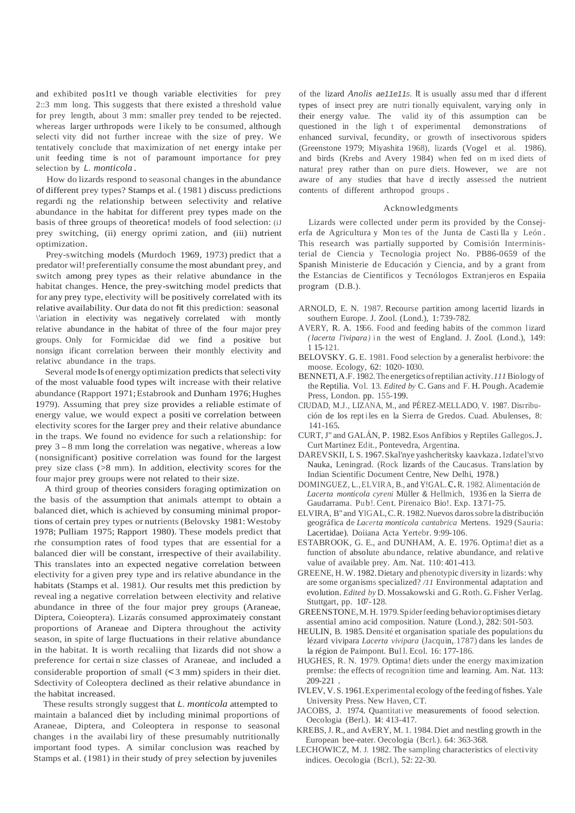and exhibited pos1t1 ve though variable electivities for prey 2::3 mm long. This suggests that there existed a threshold value for prey length, about 3 mm: smaller prey tended to be rejected. whereas larger urthropods were l ikely to be consumed, although selecti vity did not further increae with the size of prey. We tentatively conclude that maximization of net energy intake per unit feeding time is not of paramount importance for prey selection by *L. monticola .*

How do lizards respond to seasonal changes in the abundance of different prey types? Stamps et al. ( 1981) discuss predictions regardi ng the relationship between selectivity and relative abundance in the habitat for different prey types made on the basis of three groups of theoretica! models of food selection: (iJ prey switching, (ii) energy oprimi zation, and (iii) nutrient optimization.

Prey-switching models (Murdoch 1969, 1973) predict that a predator wil! preferentially consume the most abundant prey, and switch among prey types as their relative abundance in the habitat changes. Hence, the prey-switching model predicts that for any prey type, electivity will be positively correlated with its relative availability. Our data do not fit this prediction: seasonal \'ariation in electivity was negatively correlated with montly relative abundance in the habitat of three of the four major prey groups. Only for Formicidae did we find a positive but nonsign ificant correlation berween their monthly electivity and relativc abundance in the traps.

Several mode Is of energy optimization predicts that selectivity of the most valuable food types wilt increase with their relative abundance (Rapport 1971; Estabrook and Dunham 1976; Hughes 1979). Assuming that prey size provides a reliable estimate of energy value, we would expect a positi ve correlation between electivity scores for the Iarger prey and their relative abundance in the traps. We found no evidence for such a relationship: for prey <sup>3</sup> -8 mm long the correlation was negative, whereas <sup>a</sup> low (nonsignificant) positive correlation was found for the largest prey size class (>8 mm). In addition, electivity scores for the four major prey groups were not related to their size.

A third group of theories considers foraging optimization on the basis of the assumption that animals attempt to obtain a balanced diet, which is achieved by consuming minimal proportions of certain prey types or nutrients (Belovsky 1981: Westoby 1978; Pulliam 1975; Rapport 1980). These models predict that rhe consumption rates of food types that are essential for a balanced dier will be constant, irrespective of their availability. This translates into an expected negative correlation between electivity for a given prey type and irs relative abundance in the habitats (Stamps et al. 1981*).* Our results met this prediction by reveal ing a negative correlation between electivity and relative abundance in three of the four major prey groups (Araneae, Diptera, Coieoptera). Lizarás consumed approximateiy constant proportions of Araneae and Diptera throughout the activity season, in spite of large fluctuations in their relative abundance in the habitat. It is worth recaliing that Iizards did not show a preference for certai n size classes of Araneae, and included a considerable proportion of small (<3 mm) spiders in their diet. Sdectivity of Coleoptera declined as their relative abundance in the habitat increased.

These results strongly suggest that *L. monticola* attempted to maintain a balanced diet by including minimal proportions of Araneae, Diptera, and Coleoptera in response to seasonal changes in the availabi liry of these presumably nutritionally important food types. A similar conclusion was reached by Stamps et al. (1981) in their study of prey selection by juveniles

of the lizard *Anolis ae11e11s.* It is usually assu med thar d ifferent types of insect prey are nutri tionally equivalent, varying only in their energy value. The valid ity of this assumption can be questioned in the ligh t of experimental demonstrations of enhanced survival, fecundity, or growth of insectivorous spiders (Greenstone 1979; Miyashita 1968), lizards (Vogel et al. 1986). and birds (Krebs and Avery 1984) when fed on m ixed diets of natura! prey rather than on pure diets. However, we are not aware of any studies that have d irectly assessed the nutrient contents of different arthropod groups .

# Acknowledgments

Lizards were collected under perm its provided by the Consejerfa de Agricultura y Mon tes of the Junta de Casti lla y León . This research was partially supported by Comisión Interrninisterial de Ciencia y Tecnologia project No. PB86-0659 of the Spanish Ministerie de Educación y Ciencia, and by a grant from the Estancias de Cientificos y Tecnólogos Extranjeros en Espaiia program (D.B.).

- ARNOLD, E. N. 1987. Recourse partition among lacertid lizards in southern Europe. J. Zool. (Lond.), 1:739-782.
- AVERY, R. A. 1966. Food and feeding habits of the common lizard *(lacerta l'ivipara)* in the west of England. J. Zool. (Lond.), 149: 1 15-121.
- BELOVSKY. G. E. 1981. Food selection by a generalist herbivore: the moose. Ecology, 62: 1020- 1030.
- BENNETI,A.F. 1982.The energetics ofreptilian activity.*111*Biology of the Reptilia. Vol. 13. *Edited by* C. Gans and F. H. Pough. Academie Press, London. pp. 155-199.
- CIUDAD, M.J., LIZANA, M., and PÉREZ-MELLADO, V. 1987. Disrribución de los rept iles en la Sierra de Gredos. Cuad. Abulenses, 8: 141-165.
- CURT,J" and GALÁN, P. 1982.Esos Anfibios y Reptiles Gallegos.J. Curt Martinez Edit., Pontevedra, Argentina.
- DAREVSKII, L S. 1967.Skal'nye yashcheritsky kaavkaza .Izdatel'stvo Nauka, Leningrad. (Rock lizards of the Caucasus. Translation by Indian Scientific Document Centre, New Delhi, 1978.)
- DOMINGUEZ, L., ELVIRA, B., and Y!GAL.C.R. 1982. Alimentación de *Lacerta monticola cyreni* Müller & Hellmich, 1936 en la Sierra de Gaudarrama. Pub!.Cent. Pirenaico Bio!. Exp. 13:71-75.
- ELVIRA, B" and YlGAL,C.R. 1982.Nuevos darossobre la distribución geográfica de *Lacerta monticola cantabrica* Mertens. 1929 (Sauria: Lacertidae). Doiiana Acta Yertebr. 9:99-106.
- ESTABROOK, G. E., and DUNHAM, A. E. 1976. Optima! diet as a function of absolute abu ndance, relative abundance, and relative value of available prey. Am. Nat. 110: 401-413.
- GREENE, H.W. 1982.Dietary and phenotypic diversity in lizards: why are some organisms specialized? */11* Environmental adaptation and evolution. *Edited by* D. Mossakowski and G.Roth. G. Fisher Verlag. Stuttgart, pp. 107-128.
- GREENSTONE,M.H. 1979.Spiderfeeding behavioroptimises dietary assential amino acid composition. Nature (Lond.), 282: 501-503.
- HEULIN, B. 1985. Densité et organisation spatiale des populations du lézard vivipara *Lacerta vivipara* (Jacquin,.1787) dans les landes de la région de Paimpont. Bul l. Ecol. 16: 177-186.
- HUGHES, R. N. 1979. Optima! diets under the energy maximization premlse: the effects of recognition time and learning. Am. Nat. 113: 209-221 .
- IVLEV, V.S. 1961. Experimental ecology of the feeding of fishes. Yale University Press. New Haven, CT.
- JACOBS, J. 1974. Quantitative measurements of foood selection. Oecologia (Berl.). 14: 413-417.
- KREBS,J. R., and AvERY, M. 1. 1984. Diet and nestling growth in the European bee-eater. Oecologia (Bcrl.). 64: 363-368.
- LECHOWICZ, M. J. 1982. The sampling characteristics of electivity indices. Oecologia (Bcrl.), 52: 22-30.